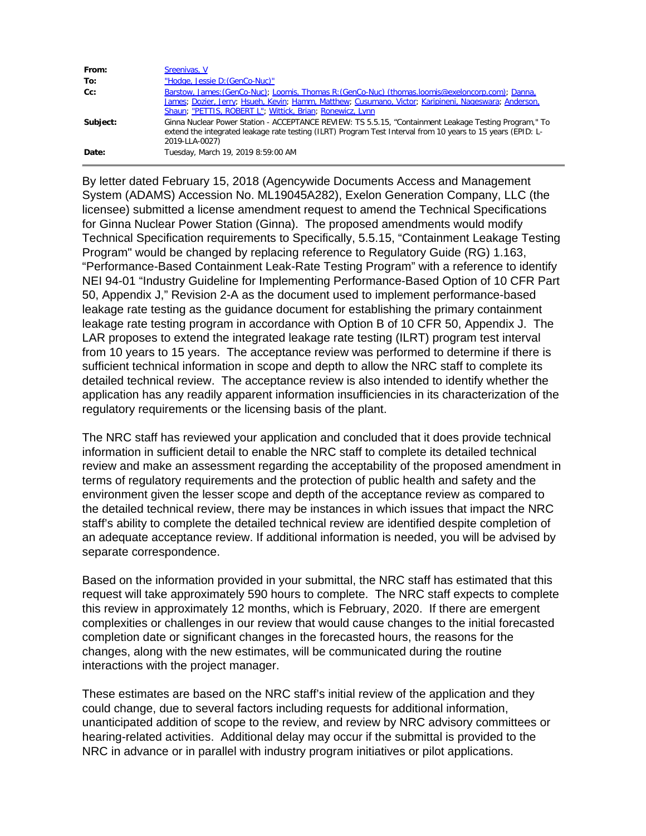| From:    | Sreenivas, V                                                                                                                                                                                                                                                             |
|----------|--------------------------------------------------------------------------------------------------------------------------------------------------------------------------------------------------------------------------------------------------------------------------|
| To:      | "Hodge, Jessie D: (GenCo-Nuc)"                                                                                                                                                                                                                                           |
| $Cc$ :   | Barstow, James: (GenCo-Nuc); Loomis, Thomas R: (GenCo-Nuc) (thomas. loomis@exeloncorp.com); Danna,<br>James; Dozier, Jerry; Hsueh, Kevin; Hamm, Matthew; Cusumano, Victor; Karipineni, Nageswara; Anderson,<br>Shaun; "PETTIS, ROBERT L"; Wittick, Brian; Ronewicz, Lynn |
| Subject: | Ginna Nuclear Power Station - ACCEPTANCE REVIEW: TS 5.5.15, "Containment Leakage Testing Program," To<br>extend the integrated leakage rate testing (ILRT) Program Test Interval from 10 years to 15 years (EPID: L-<br>2019-LLA-0027)                                   |
| Date:    | Tuesday, March 19, 2019 8:59:00 AM                                                                                                                                                                                                                                       |

By letter dated February 15, 2018 (Agencywide Documents Access and Management System (ADAMS) Accession No. ML19045A282), Exelon Generation Company, LLC (the licensee) submitted a license amendment request to amend the Technical Specifications for Ginna Nuclear Power Station (Ginna). The proposed amendments would modify Technical Specification requirements to Specifically, 5.5.15, "Containment Leakage Testing Program" would be changed by replacing reference to Regulatory Guide (RG) 1.163, "Performance-Based Containment Leak-Rate Testing Program" with a reference to identify NEI 94-01 "Industry Guideline for Implementing Performance-Based Option of 10 CFR Part 50, Appendix J," Revision 2-A as the document used to implement performance-based leakage rate testing as the guidance document for establishing the primary containment leakage rate testing program in accordance with Option B of 10 CFR 50, Appendix J. The LAR proposes to extend the integrated leakage rate testing (ILRT) program test interval from 10 years to 15 years. The acceptance review was performed to determine if there is sufficient technical information in scope and depth to allow the NRC staff to complete its detailed technical review. The acceptance review is also intended to identify whether the application has any readily apparent information insufficiencies in its characterization of the regulatory requirements or the licensing basis of the plant.

The NRC staff has reviewed your application and concluded that it does provide technical information in sufficient detail to enable the NRC staff to complete its detailed technical review and make an assessment regarding the acceptability of the proposed amendment in terms of regulatory requirements and the protection of public health and safety and the environment given the lesser scope and depth of the acceptance review as compared to the detailed technical review, there may be instances in which issues that impact the NRC staff's ability to complete the detailed technical review are identified despite completion of an adequate acceptance review. If additional information is needed, you will be advised by separate correspondence.

Based on the information provided in your submittal, the NRC staff has estimated that this request will take approximately 590 hours to complete. The NRC staff expects to complete this review in approximately 12 months, which is February, 2020. If there are emergent complexities or challenges in our review that would cause changes to the initial forecasted completion date or significant changes in the forecasted hours, the reasons for the changes, along with the new estimates, will be communicated during the routine interactions with the project manager.

These estimates are based on the NRC staff's initial review of the application and they could change, due to several factors including requests for additional information, unanticipated addition of scope to the review, and review by NRC advisory committees or hearing-related activities. Additional delay may occur if the submittal is provided to the NRC in advance or in parallel with industry program initiatives or pilot applications.